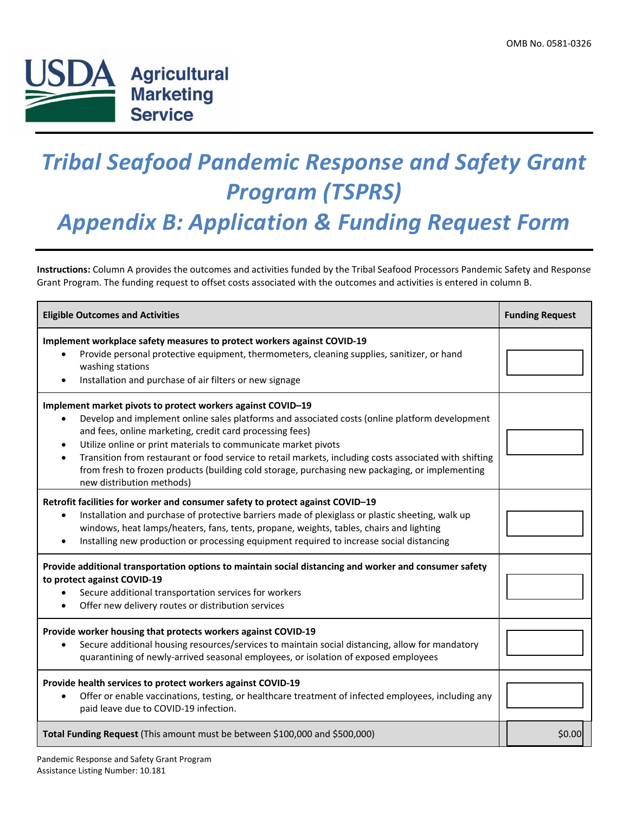

## *Tribal Seafood Pandemic Response and Safety Grant Program (TSPRS)*

*Appendix B: Application & Funding Request Form*

**Instructions:** Column A provides the outcomes and activities funded by the Tribal Seafood Processors Pandemic Safety and Response Grant Program. The funding request to offset costs associated with the outcomes and activities is entered in column B.

| <b>Eligible Outcomes and Activities</b>                                                                                                                                                                                                                                                                                                                                                                                                                                                                                                            | <b>Funding Request</b> |
|----------------------------------------------------------------------------------------------------------------------------------------------------------------------------------------------------------------------------------------------------------------------------------------------------------------------------------------------------------------------------------------------------------------------------------------------------------------------------------------------------------------------------------------------------|------------------------|
| Implement workplace safety measures to protect workers against COVID-19<br>Provide personal protective equipment, thermometers, cleaning supplies, sanitizer, or hand<br>washing stations<br>Installation and purchase of air filters or new signage                                                                                                                                                                                                                                                                                               |                        |
| Implement market pivots to protect workers against COVID-19<br>Develop and implement online sales platforms and associated costs (online platform development<br>and fees, online marketing, credit card processing fees)<br>Utilize online or print materials to communicate market pivots<br>$\bullet$<br>Transition from restaurant or food service to retail markets, including costs associated with shifting<br>from fresh to frozen products (building cold storage, purchasing new packaging, or implementing<br>new distribution methods) |                        |
| Retrofit facilities for worker and consumer safety to protect against COVID-19<br>Installation and purchase of protective barriers made of plexiglass or plastic sheeting, walk up<br>windows, heat lamps/heaters, fans, tents, propane, weights, tables, chairs and lighting<br>Installing new production or processing equipment required to increase social distancing                                                                                                                                                                          |                        |
| Provide additional transportation options to maintain social distancing and worker and consumer safety<br>to protect against COVID-19<br>Secure additional transportation services for workers<br>Offer new delivery routes or distribution services                                                                                                                                                                                                                                                                                               |                        |
| Provide worker housing that protects workers against COVID-19<br>Secure additional housing resources/services to maintain social distancing, allow for mandatory<br>quarantining of newly-arrived seasonal employees, or isolation of exposed employees                                                                                                                                                                                                                                                                                            |                        |
| Provide health services to protect workers against COVID-19<br>Offer or enable vaccinations, testing, or healthcare treatment of infected employees, including any<br>$\bullet$<br>paid leave due to COVID-19 infection.                                                                                                                                                                                                                                                                                                                           |                        |
| Total Funding Request (This amount must be between \$100,000 and \$500,000)                                                                                                                                                                                                                                                                                                                                                                                                                                                                        | \$0.00                 |